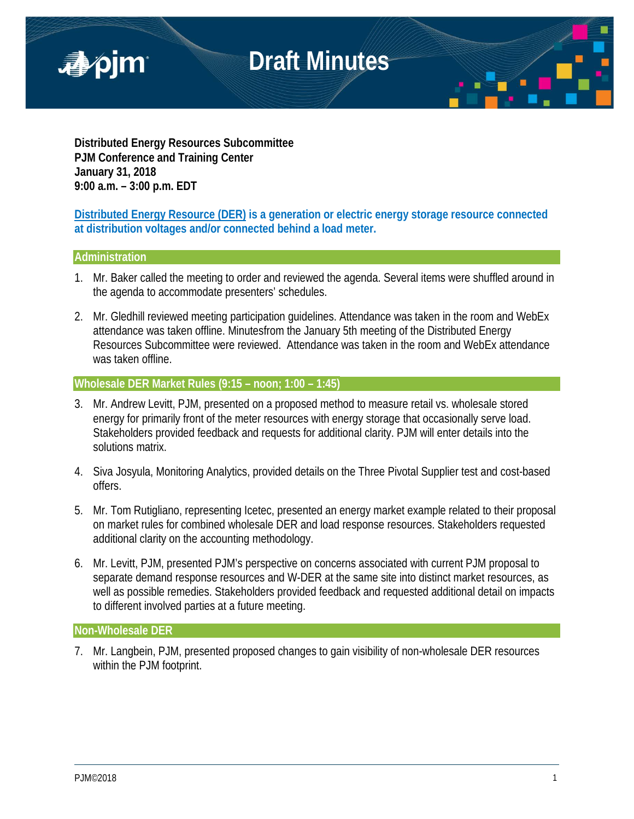

**Distributed Energy Resources Subcommittee PJM Conference and Training Center January 31, 2018 9:00 a.m. – 3:00 p.m. EDT**

## **Distributed Energy Resource (DER) is a generation or electric energy storage resource connected at distribution voltages and/or connected behind a load meter.**

## **Administration**

- 1. Mr. Baker called the meeting to order and reviewed the agenda. Several items were shuffled around in the agenda to accommodate presenters' schedules.
- 2. Mr. Gledhill reviewed meeting participation guidelines. Attendance was taken in the room and WebEx attendance was taken offline. Minutesfrom the January 5th meeting of the Distributed Energy Resources Subcommittee were reviewed. Attendance was taken in the room and WebEx attendance was taken offline.

## **Wholesale DER Market Rules (9:15 – noon; 1:00 – 1:45)**

- 3. Mr. Andrew Levitt, PJM, presented on a proposed method to measure retail vs. wholesale stored energy for primarily front of the meter resources with energy storage that occasionally serve load. Stakeholders provided feedback and requests for additional clarity. PJM will enter details into the solutions matrix.
- 4. Siva Josyula, Monitoring Analytics, provided details on the Three Pivotal Supplier test and cost-based offers.
- 5. Mr. Tom Rutigliano, representing Icetec, presented an energy market example related to their proposal on market rules for combined wholesale DER and load response resources. Stakeholders requested additional clarity on the accounting methodology.
- 6. Mr. Levitt, PJM, presented PJM's perspective on concerns associated with current PJM proposal to separate demand response resources and W-DER at the same site into distinct market resources, as well as possible remedies. Stakeholders provided feedback and requested additional detail on impacts to different involved parties at a future meeting.

## **Non-Wholesale DER**

7. Mr. Langbein, PJM, presented proposed changes to gain visibility of non-wholesale DER resources within the PJM footprint.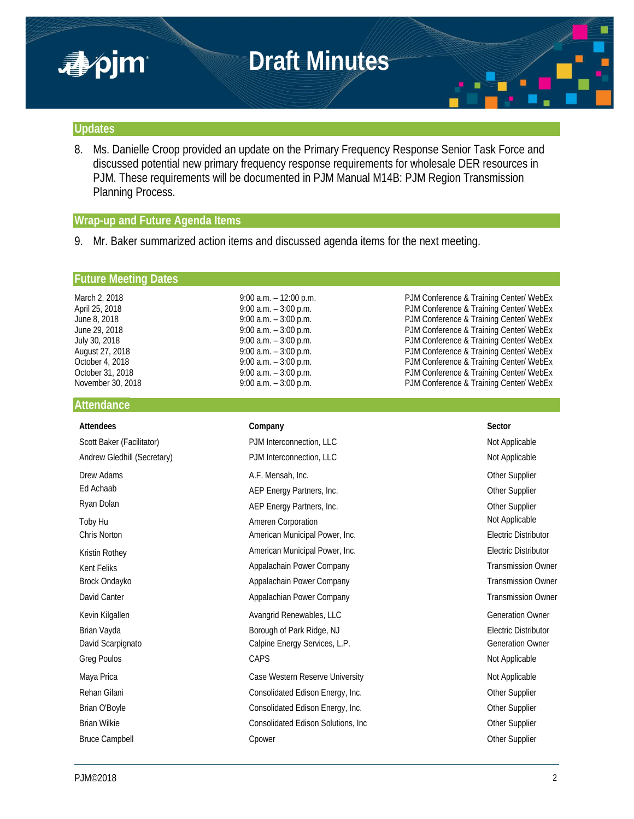

#### **Updates**

8. Ms. Danielle Croop provided an update on the Primary Frequency Response Senior Task Force and discussed potential new primary frequency response requirements for wholesale DER resources in PJM. These requirements will be documented in PJM Manual M14B: PJM Region Transmission Planning Process.

#### **Wrap-up and Future Agenda Items**

9. Mr. Baker summarized action items and discussed agenda items for the next meeting.

#### **Future Meeting Dates**

## **Attendance**

March 2, 2018 **9:00 a.m. – 12:00 p.m.** PJM Conference & Training Center/ WebEx April 25, 2018 **19:00 a.m.** – 3:00 p.m. **PJM Conference & Training Center/ WebEx** June 8, 2018 **19:00 a.m.** – 3:00 p.m. **PJM Conference & Training Center/ WebEx** June 29, 2018 9:00 a.m. – 3:00 p.m. PJM Conference & Training Center/ WebEx July 30, 2018 9:00 a.m. – 3:00 p.m. PJM Conference & Training Center/ WebEx PJM Conference & Training Center/ WebEx October 4, 2018 9:00 a.m. – 3:00 p.m. PJM Conference & Training Center/ WebEx October 31, 2018 9:00 a.m. – 3:00 p.m. PJM Conference & Training Center/ WebEx PJM Conference & Training Center/ WebEx

| <b>Attendees</b>            | Company                             | Sector                      |
|-----------------------------|-------------------------------------|-----------------------------|
| Scott Baker (Facilitator)   | PJM Interconnection, LLC            | Not Applicable              |
| Andrew Gledhill (Secretary) | PJM Interconnection, LLC            | Not Applicable              |
| Drew Adams                  | A.F. Mensah, Inc.                   | Other Supplier              |
| Ed Achaab                   | AEP Energy Partners, Inc.           | Other Supplier              |
| Ryan Dolan                  | AEP Energy Partners, Inc.           | Other Supplier              |
| Toby Hu                     | <b>Ameren Corporation</b>           | Not Applicable              |
| Chris Norton                | American Municipal Power, Inc.      | <b>Electric Distributor</b> |
| Kristin Rothey              | American Municipal Power, Inc.      | <b>Electric Distributor</b> |
| Kent Feliks                 | Appalachain Power Company           | <b>Transmission Owner</b>   |
| Brock Ondayko               | Appalachain Power Company           | <b>Transmission Owner</b>   |
| David Canter                | Appalachian Power Company           | <b>Transmission Owner</b>   |
| Kevin Kilgallen             | Avangrid Renewables, LLC            | <b>Generation Owner</b>     |
| Brian Vayda                 | Borough of Park Ridge, NJ           | Electric Distributor        |
| David Scarpignato           | Calpine Energy Services, L.P.       | <b>Generation Owner</b>     |
| Greg Poulos                 | CAPS                                | Not Applicable              |
| Maya Prica                  | Case Western Reserve University     | Not Applicable              |
| Rehan Gilani                | Consolidated Edison Energy, Inc.    | Other Supplier              |
| Brian O'Boyle               | Consolidated Edison Energy, Inc.    | Other Supplier              |
| <b>Brian Wilkie</b>         | Consolidated Edison Solutions, Inc. | Other Supplier              |
| <b>Bruce Campbell</b>       | Cpower                              | Other Supplier              |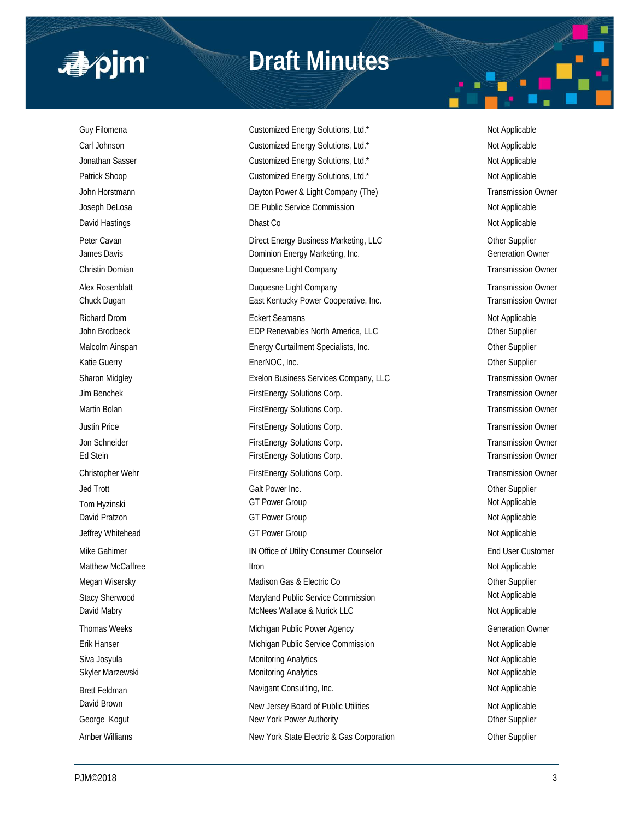

## **Draft Minutes**

Guy Filomena **Customized Energy Solutions, Ltd.\*** Not Applicable Not Applicable Carl Johnson **Customized Energy Solutions, Ltd.\*** Not Applicable Not Applicable Jonathan Sasser **Customized Energy Solutions, Ltd.\*** Not Applicable Not Applicable Patrick Shoop **Customized Energy Solutions, Ltd.\*** Not Applicable Not Applicable John Horstmann **Dayton Power & Light Company (The)** Transmission Owner Company (The Company Company Company Company Company Company Company Company Company Company Company Company Company Company Company Company Company Co Joseph DeLosa **DE Public Service Commission** Density Applicable Not Applicable David Hastings **Dhast Co Constant Constant Constant Constant Constant Constant Constant Constant Constant Constant Constant Constant Constant Constant Constant Constant Constant Constant Constant Constant Constant Consta** Peter Cavan **Direct Energy Business Marketing, LLC** Character Cavan Other Supplier James Davis **Dominion Energy Marketing, Inc.** Commercial Commercial Commercial Commercial Commercial Commercial Commercial Commercial Commercial Commercial Commercial Commercial Commercial Commercial Commercial Commercial Christin Domian Duquesne Light Company Transmission Owner Alex Rosenblatt **Alex Company** Duquesne Light Company **Transmission Owner** Transmission Owner Chuck Dugan **East Kentucky Power Cooperative, Inc.** Transmission Owner Cooperative, Inc. Richard Drom **Eckert Seamans** Eckert Seamans **Not Applicable** Not Applicable John Brodbeck **EDP Renewables North America, LLC** Christens Christens Christens North America, LLC Malcolm Ainspan **Energy Curtailment Specialists, Inc.** Cher Supplier Communication Communication Communication Communication Communication Communication Communication Communication Communication Communication Communication Katie Guerry **EnerNOC, Inc. Community Control** Chern Supplier Community Chern Supplier Sharon Midgley **Exelon Business Services Company, LLC** Transmission Owner Jim Benchek FirstEnergy Solutions Corp. Transmission Owner Martin Bolan **FirstEnergy Solutions Corp.** Transmission Owner Corp. Transmission Owner Justin Price **FirstEnergy Solutions Corp.** Transmission Owner Jon Schneider **FirstEnergy Solutions Corp.** Transmission Owner Ed Stein **FirstEnergy Solutions Corp.** Transmission Owner Christopher Wehr FirstEnergy Solutions Corp. Transmission Owner Christopher Wehr Transmission Owner Jed Trott Galt Power Inc. Other Supplier Tom Hyzinski GT Power Group Not Applicable David Pratzon **Markov COVID COVID-COVID-COVID-COVID-COVID-COVID-COVID-COVID-COVID-COVID-COVID-COVID-COVID-COVID-COVID-COVID-COVID-COVID-COVID-COVID-COVID-COVID-COVID-COVID-COVID-COVID-COVID-COVID-COVID-COVID-COVID-COVID-CO** Jeffrey Whitehead **GT Power Group COVID-COVID-COVID-COVID-COVID-COVID-COVID-COVID-COVID-COVID-COVID-COVID-COVID-COVID-COVID-COVID-COVID-COVID-COVID-COVID-COVID-COVID-COVID-COVID-COVID-COVID-COVID-COVID-COVID-COVID-COVID-CO** Mike Gahimer **IN Office of Utility Consumer Counselor** End User Customer Customer Matthew McCaffree **Itron** Itron Not Applicable Megan Wisersky **Matison Gas & Electric Co Channel Supplier** Other Supplier Stacy Sherwood **Maryland Public Service Commission** Mot Applicable David Mabry **Machina Community Contract Community** McNees Wallace & Nurick LLC Not Applicable Not Applicable Thomas Weeks **Michigan Public Power Agency Michigan Public Power Agency Generation Owner** Erik Hanser Nichigan Public Service Commission Not Applicable Not Applicable Siva Josyula **Monitoring Analytics** Not Applicable Not Applicable Not Applicable Skyler Marzewski **Monitoring Analytics** Monitoring Analytics Not Applicable Brett Feldman Navigant Consulting, Inc. Not Applicable Not Applicable David Brown New Jersey Board of Public Utilities Not Applicable George Kogut **New York Power Authority New York Power Authority New York Power Authority Other Supplier** Amber Williams **New York State Electric & Gas Corporation** Other Supplier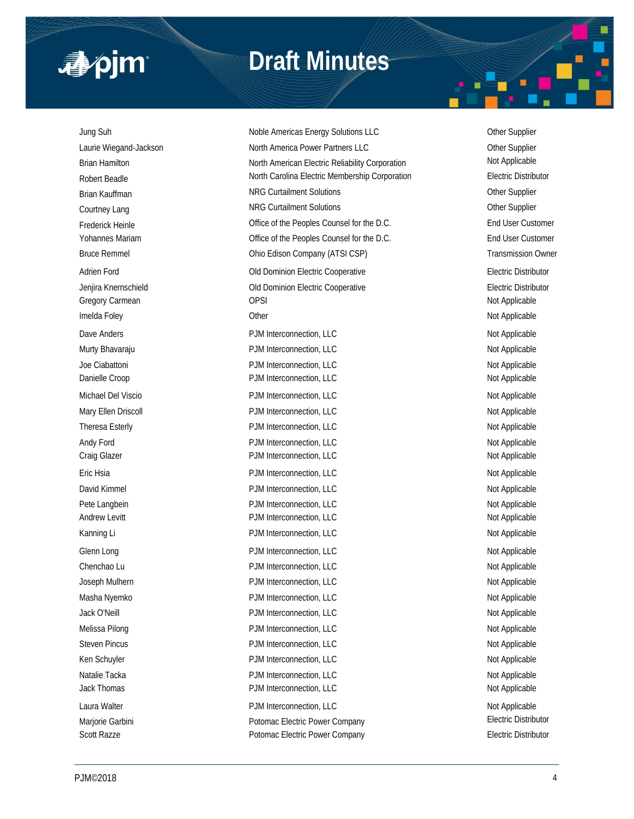

## **Draft Minutes**

Jung Suh Noble Americas Energy Solutions LLC Other Supplier Laurie Wiegand-Jackson **North America Power Partners LLC North America Power Partners LLC** Other Supplier Brian Hamilton North American Electric Reliability Corporation Not Applicable Robert Beadle **North Carolina Electric Membership Corporation** Electric Distributor Brian Kauffman **NRG Curtailment Solutions** Curtailment Solutions Curtailment Solutions Curtailment Current Current Courtney Lang Courtailment Solutions Courtailment Solutions Courtney Lang Frederick Heinle **End User Customer** Office of the Peoples Counsel for the D.C. **End User Customer** End User Customer Yohannes Mariam **Office of the Peoples Counsel for the D.C.** End User Customer Bruce Remmel **Example 2018** Ohio Edison Company (ATSI CSP) **Transmission Owner** Company (ATSI CSP) Adrien Ford **Adrien Ford COLO EXECUTE:** Old Dominion Electric Cooperative **COLO Executive Electric Distributor** Jenjira Knernschield Old Dominion Electric Cooperative Electric Distributor Gregory Carmean **Carmean** OPSI **Carmean** OPSI **Not Applicable** Imelda Foley **Not Applicable** Other **Not Applicable** Other **Not Applicable** Not Applicable Dave Anders **PJM Interconnection, LLC** Not Applicable Not Applicable Murty Bhavaraju **Number 2008** PJM Interconnection, LLC Not Applicable Not Applicable Joe Ciabattoni **Not Applicable** PJM Interconnection, LLC Not Applicable Not Applicable Danielle Croop **PJM Interconnection, LLC** Not Applicable Michael Del Viscio **Not Applicable** PJM Interconnection, LLC Not Applicable Not Applicable Mary Ellen Driscoll **Natural PJM Interconnection, LLC** Not Applicable Not Applicable Theresa Esterly **External Connection**, LLC Not Applicable Not Applicable Andy Ford Not Applicable PJM Interconnection, LLC Not Applicable Not Applicable Craig Glazer **PJM Interconnection, LLC** Craig Glazer **Not Applicable** Not Applicable Eric Hsia **PJM Interconnection, LLC** and the policy and the policy of PJM Interconnection, LLC David Kimmel **Example 20 Table 20 Applicable** PJM Interconnection, LLC **Not Applicable** Not Applicable Pete Langbein **PJM Interconnection, LLC** Not Applicable Not Applicable Andrew Levitt **Andrew Levitt** PJM Interconnection, LLC **Andrew Levitt** Not Applicable Kanning Li **Not Applicable** PJM Interconnection, LLC **Not Applicable** Not Applicable Glenn Long Not Applicable PJM Interconnection, LLC Not Applicable Not Applicable Chenchao Lu **Chenchao Lu Chenchao Lu** PJM Interconnection, LLC **Not Applicable** Not Applicable Joseph Mulhern **PJM Interconnection, LLC** Not Applicable Not Applicable Masha Nyemko **PJM Interconnection, LLC** Not Applicable Not Applicable Jack O'Neill **PJM Interconnection, LLC** Not Applicable Not Applicable Melissa Pilong Not Applicable PJM Interconnection, LLC Not Applicable Not Applicable Steven Pincus **PJM Interconnection, LLC** Not Applicable Not Applicable Ken Schuyler **Not Applicable** PJM Interconnection, LLC Not Applicable Not Applicable Natalie Tacka Not Applicable PJM Interconnection, LLC Not Applicable Not Applicable Jack Thomas **PJM Interconnection, LLC** Not Applicable Not Applicable Laura Walter **Not Applicable** PJM Interconnection, LLC **Not Applicable** Not Applicable Marjorie Garbini **Electric Potomac Electric Power Company Electric Distributor Electric Distributor** Scott Razze **Potomac Electric Power Company Potomac Electric Power Company Electric Distributor**